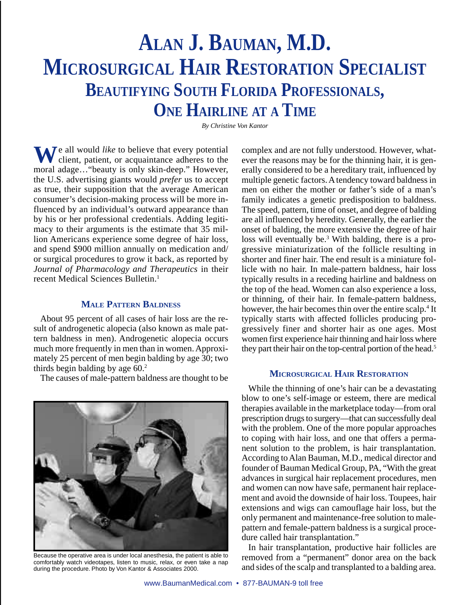# **ALAN J. BAUMAN, M.D. MICROSURGICAL HAIR RESTORATION SPECIALIST BEAUTIFYING SOUTH FLORIDA PROFESSIONALS, ONE HAIRLINE AT A TIME**

*By Christine Von Kantor*

**W**e all would *like* to believe that every potential client, patient, or acquaintance adheres to the moral adage…"beauty is only skin-deep." However, the U.S. advertising giants would *prefer* us to accept as true, their supposition that the average American consumer's decision-making process will be more influenced by an individual's outward appearance than by his or her professional credentials. Adding legitimacy to their arguments is the estimate that 35 million Americans experience some degree of hair loss, and spend \$900 million annually on medication and/ or surgical procedures to grow it back, as reported by *Journal of Pharmacology and Therapeutics* in their recent Medical Sciences Bulletin.1

### **MALE PATTERN BALDNESS**

About 95 percent of all cases of hair loss are the result of androgenetic alopecia (also known as male pattern baldness in men). Androgenetic alopecia occurs much more frequently in men than in women. Approximately 25 percent of men begin balding by age 30; two thirds begin balding by age  $60<sup>2</sup>$ 

The causes of male-pattern baldness are thought to be



Because the operative area is under local anesthesia, the patient is able to comfortably watch videotapes, listen to music, relax, or even take a nap during the procedure. Photo by Von Kantor & Associates 2000.

complex and are not fully understood. However, whatever the reasons may be for the thinning hair, it is generally considered to be a hereditary trait, influenced by multiple genetic factors. A tendency toward baldness in men on either the mother or father's side of a man's family indicates a genetic predisposition to baldness. The speed, pattern, time of onset, and degree of balding are all influenced by heredity. Generally, the earlier the onset of balding, the more extensive the degree of hair loss will eventually be.3 With balding, there is a progressive miniaturization of the follicle resulting in shorter and finer hair. The end result is a miniature follicle with no hair. In male-pattern baldness, hair loss typically results in a receding hairline and baldness on the top of the head. Women can also experience a loss, or thinning, of their hair. In female-pattern baldness, however, the hair becomes thin over the entire scalp.<sup>4</sup> It typically starts with affected follicles producing progressively finer and shorter hair as one ages. Most women first experience hair thinning and hair loss where they part their hair on the top-central portion of the head.<sup>5</sup>

# **MICROSURGICAL HAIR RESTORATION**

While the thinning of one's hair can be a devastating blow to one's self-image or esteem, there are medical therapies available in the marketplace today—from oral prescription drugs to surgery—that can successfully deal with the problem. One of the more popular approaches to coping with hair loss, and one that offers a permanent solution to the problem, is hair transplantation. According to Alan Bauman, M.D., medical director and founder of Bauman Medical Group, PA, "With the great advances in surgical hair replacement procedures, men and women can now have safe, permanent hair replacement and avoid the downside of hair loss. Toupees, hair extensions and wigs can camouflage hair loss, but the only permanent and maintenance-free solution to malepattern and female-pattern baldness is a surgical procedure called hair transplantation."

In hair transplantation, productive hair follicles are removed from a "permanent" donor area on the back and sides of the scalp and transplanted to a balding area.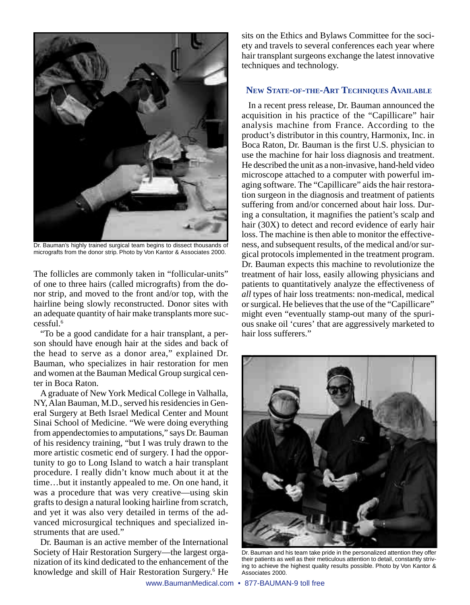

Dr. Bauman's highly trained surgical team begins to dissect thousands of micrografts from the donor strip. Photo by Von Kantor & Associates 2000.

The follicles are commonly taken in "follicular-units" of one to three hairs (called micrografts) from the donor strip, and moved to the front and/or top, with the hairline being slowly reconstructed. Donor sites with an adequate quantity of hair make transplants more successful.6

"To be a good candidate for a hair transplant, a person should have enough hair at the sides and back of the head to serve as a donor area," explained Dr. Bauman, who specializes in hair restoration for men and women at the Bauman Medical Group surgical center in Boca Raton.

A graduate of New York Medical College in Valhalla, NY, Alan Bauman, M.D., served his residencies in General Surgery at Beth Israel Medical Center and Mount Sinai School of Medicine. "We were doing everything from appendectomies to amputations," says Dr. Bauman of his residency training, "but I was truly drawn to the more artistic cosmetic end of surgery. I had the opportunity to go to Long Island to watch a hair transplant procedure. I really didn't know much about it at the time…but it instantly appealed to me. On one hand, it was a procedure that was very creative—using skin grafts to design a natural looking hairline from scratch, and yet it was also very detailed in terms of the advanced microsurgical techniques and specialized instruments that are used."

Dr. Bauman is an active member of the International Society of Hair Restoration Surgery—the largest organization of its kind dedicated to the enhancement of the knowledge and skill of Hair Restoration Surgery.<sup>6</sup> He

sits on the Ethics and Bylaws Committee for the society and travels to several conferences each year where hair transplant surgeons exchange the latest innovative techniques and technology.

# **NEW STATE-OF-THE-ART TECHNIQUES AVAILABLE**

In a recent press release, Dr. Bauman announced the acquisition in his practice of the "Capillicare" hair analysis machine from France. According to the product's distributor in this country, Harmonix, Inc. in Boca Raton, Dr. Bauman is the first U.S. physician to use the machine for hair loss diagnosis and treatment. He described the unit as a non-invasive, hand-held video microscope attached to a computer with powerful imaging software. The "Capillicare" aids the hair restoration surgeon in the diagnosis and treatment of patients suffering from and/or concerned about hair loss. During a consultation, it magnifies the patient's scalp and hair (30X) to detect and record evidence of early hair loss. The machine is then able to monitor the effectiveness, and subsequent results, of the medical and/or surgical protocols implemented in the treatment program. Dr. Bauman expects this machine to revolutionize the treatment of hair loss, easily allowing physicians and patients to quantitatively analyze the effectiveness of *all* types of hair loss treatments: non-medical, medical or surgical. He believes that the use of the "Capillicare" might even "eventually stamp-out many of the spurious snake oil 'cures' that are aggressively marketed to hair loss sufferers."



Dr. Bauman and his team take pride in the personalized attention they offer their patients as well as their meticulous attention to detail, constantly striving to achieve the highest quality results possible. Photo by Von Kantor & Associates 2000.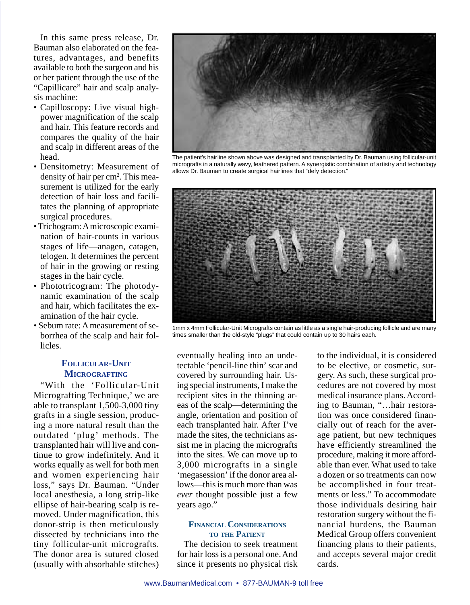In this same press release, Dr. Bauman also elaborated on the features, advantages, and benefits available to both the surgeon and his or her patient through the use of the "Capillicare" hair and scalp analysis machine:

- Capilloscopy: Live visual highpower magnification of the scalp and hair. This feature records and compares the quality of the hair and scalp in different areas of the head.
- Densitometry: Measurement of density of hair per cm<sup>2</sup>. This measurement is utilized for the early detection of hair loss and facilitates the planning of appropriate surgical procedures.
- •Trichogram: A microscopic examination of hair-counts in various stages of life—anagen, catagen, telogen. It determines the percent of hair in the growing or resting stages in the hair cycle.
- Phototricogram: The photodynamic examination of the scalp and hair, which facilitates the examination of the hair cycle.
- Sebum rate: A measurement of seborrhea of the scalp and hair follicles.

# **FOLLICULAR-UNIT MICROGRAFTING**

"With the 'Follicular-Unit Micrografting Technique,' we are able to transplant 1,500-3,000 tiny grafts in a single session, producing a more natural result than the outdated 'plug' methods. The transplanted hair will live and continue to grow indefinitely. And it works equally as well for both men and women experiencing hair loss," says Dr. Bauman. "Under local anesthesia, a long strip-like ellipse of hair-bearing scalp is removed. Under magnification, this donor-strip is then meticulously dissected by technicians into the tiny follicular-unit micrografts. The donor area is sutured closed (usually with absorbable stitches)



The patient's hairline shown above was designed and transplanted by Dr. Bauman using follicular-unit micrografts in a naturally wavy, feathered pattern. A synergistic combination of artistry and technology allows Dr. Bauman to create surgical hairlines that "defy detection."



1mm x 4mm Follicular-Unit Micrografts contain as little as a single hair-producing follicle and are many times smaller than the old-style "plugs" that could contain up to 30 hairs each.

eventually healing into an undetectable 'pencil-line thin' scar and covered by surrounding hair. Using special instruments, I make the recipient sites in the thinning areas of the scalp—determining the angle, orientation and position of each transplanted hair. After I've made the sites, the technicians assist me in placing the micrografts into the sites. We can move up to 3,000 micrografts in a single 'megasession' if the donor area allows—this is much more than was *ever* thought possible just a few years ago."

#### **FINANCIAL CONSIDERATIONS TO THE PATIENT**

The decision to seek treatment for hair loss is a personal one. And since it presents no physical risk

to the individual, it is considered to be elective, or cosmetic, surgery. As such, these surgical procedures are not covered by most medical insurance plans. According to Bauman, "…hair restoration was once considered financially out of reach for the average patient, but new techniques have efficiently streamlined the procedure, making it more affordable than ever. What used to take a dozen or so treatments can now be accomplished in four treatments or less." To accommodate those individuals desiring hair restoration surgery without the financial burdens, the Bauman Medical Group offers convenient financing plans to their patients, and accepts several major credit cards.